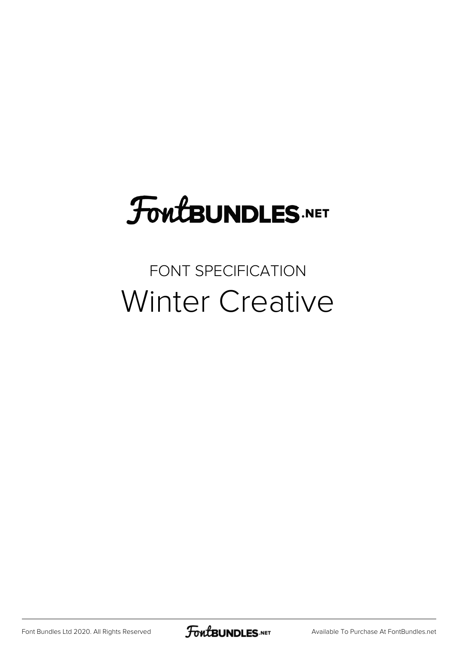# **FoutBUNDLES.NET**

#### FONT SPECIFICATION Winter Creative

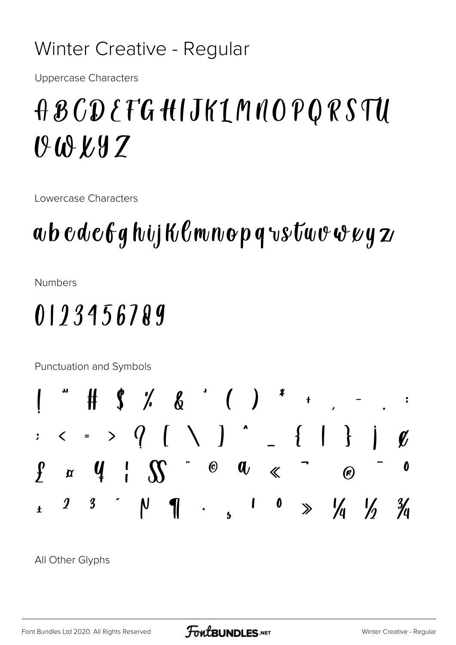#### Winter Creative - Regular

**Uppercase Characters** 

## A B CD E TG HIJKIMNOPORSTU  $0.08K9Z$

Lowercase Characters

## $\boldsymbol{a}$ b cdc $\boldsymbol{\ell}$ g hij K $\boldsymbol{\ell}$ mnop q vstuv $\boldsymbol{\psi}$ vy z

**Numbers** 

 $\cdot$ 

 $\ddot{\mathbf{r}}$ 

### 0123456789

Punctuation and Symbols  $\begin{array}{cc} & & \uparrow & \\ & & \uparrow & \\ & & & \end{array}$  $\langle \cdot \rangle$  >  $\langle$   $\rangle$   $\langle$   $\rangle$   $\rangle$   $\langle$   $\rangle$   $\rangle$   $\langle$  $\begin{array}{c} \begin{array}{c} \end{array} \end{array}$  $\circ$   $\alpha$   $\ll$  $\int$  $\alpha$  4 |  $\gamma$  $\bigcirc$  $\boldsymbol{\eta}$  $\boldsymbol{\beta}$  $\mathsf{N}$  $\boldsymbol{0}$  $\frac{1}{4}$  $\sum_{i=1}^{n}$  $\mathbf I$  $\ddot{\phantom{0}}$ 

All Other Glyphs

 $\mathbf{0}'$ 

 $\boldsymbol{\theta}$ 

 $\frac{3}{4}$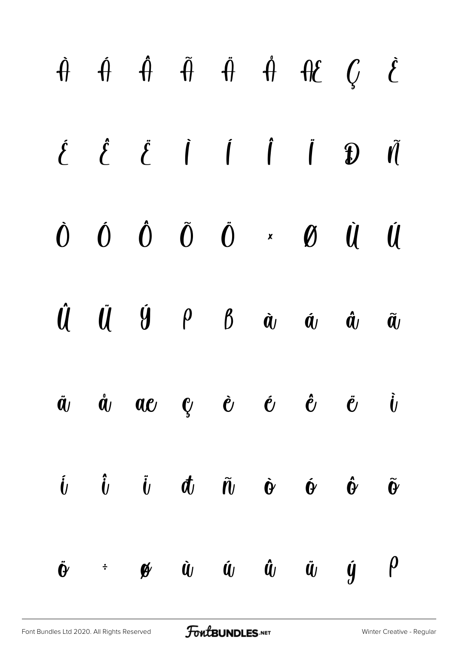|  | $\begin{array}{ccccccccccccc}\n\hat{H} & \hat{H} & \hat{H} & \hat{H} & \hat{H} & \hat{H} & \hat{H}\n\end{array}$                                                                                                                                                                                                                                                                                                                                                                                   |  |  |                                                   |  |
|--|----------------------------------------------------------------------------------------------------------------------------------------------------------------------------------------------------------------------------------------------------------------------------------------------------------------------------------------------------------------------------------------------------------------------------------------------------------------------------------------------------|--|--|---------------------------------------------------|--|
|  | $\begin{array}{ccccccccccccc} \hat{\xi} & \hat{\xi} & \hat{\xi} & \hat{\eta} & \hat{\eta} & \hat{\eta} & \hat{\eta} & \hat{\eta} & \hat{\eta} & \hat{\eta} & \hat{\eta} & \hat{\eta} & \hat{\eta} & \hat{\eta} & \hat{\eta} & \hat{\eta} & \hat{\eta} & \hat{\eta} & \hat{\eta} & \hat{\eta} & \hat{\eta} & \hat{\eta} & \hat{\eta} & \hat{\eta} & \hat{\eta} & \hat{\eta} & \hat{\eta} & \hat{\eta} & \hat{\eta} & \hat{\eta} & \hat{\eta} & \hat{\eta} & \hat{\eta} & \hat{\eta} & \hat{\eta} &$ |  |  |                                                   |  |
|  | $\begin{matrix} 0 & 0 & 0 & 0 \end{matrix} \quad \begin{matrix} 0 & 0 & 0 \end{matrix} \quad \begin{matrix} x & 0 & 0 \end{matrix} \quad \begin{matrix} 0 & 0 & 0 \end{matrix}$                                                                                                                                                                                                                                                                                                                    |  |  |                                                   |  |
|  | $\hat{\mathbf{U}} \quad \  \  \, \hat{\mathbf{U}} \quad \  \  \, \hat{\mathbf{U}} \quad \  \  \, \hat{\mathbf{U}} \quad \  \  \, \hat{\mathbf{U}} \quad \  \  \, \hat{\mathbf{U}} \quad \  \  \, \hat{\mathbf{U}} \quad \  \  \, \hat{\mathbf{U}} \quad \  \  \, \hat{\mathbf{U}} \quad \  \  \, \hat{\mathbf{U}} \quad \  \  \, \hat{\mathbf{U}} \quad \  \  \, \hat{\mathbf{U}} \quad \  \  \, \hat{\mathbf{U}} \quad \  \  \, \hat{\mathbf{U}} \quad \ $                                        |  |  |                                                   |  |
|  | $\ddot{a}$ $\dot{a}$ $a e$ $e$ $\dot{e}$ $e$ $\ddot{e}$ $\ddot{e}$ $\dot{b}$                                                                                                                                                                                                                                                                                                                                                                                                                       |  |  |                                                   |  |
|  | $\hat{\bm{l}}$ $\hat{\bm{l}}$ $\hat{\bm{l}}$ $\hat{\bm{l}}$ $\bm{d}$ $\hat{\bm{l}}$ $\hat{\bm{l}}$ $\hat{\bm{\theta}}$ $\hat{\bm{\theta}}$                                                                                                                                                                                                                                                                                                                                                         |  |  | $\hat{\mathbf{\Theta}}$ $\tilde{\mathbf{\Theta}}$ |  |
|  | $\dot{\mathbf{e}}$ + $\mathbf{e}$ $\dot{\mathbf{u}}$ $\dot{\mathbf{u}}$ $\dot{\mathbf{u}}$ $\ddot{\mathbf{u}}$ $\dot{\mathbf{u}}$ $\dot{\mathbf{y}}$ $\dot{\mathbf{p}}$                                                                                                                                                                                                                                                                                                                            |  |  |                                                   |  |